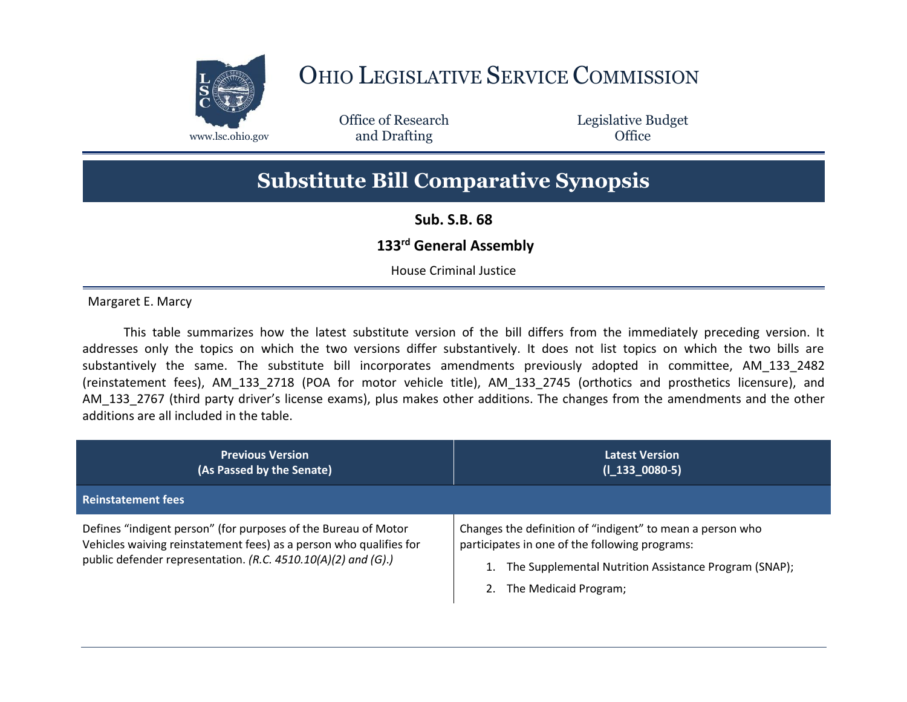

## OHIO LEGISLATIVE SERVICE COMMISSION

Office of Research www.lsc.ohio.gov **and Drafting Office** 

Legislative Budget

## **Substitute Bill Comparative Synopsis**

**Sub. S.B. 68**

## **133rd General Assembly**

House Criminal Justice

Margaret E. Marcy

This table summarizes how the latest substitute version of the bill differs from the immediately preceding version. It addresses only the topics on which the two versions differ substantively. It does not list topics on which the two bills are substantively the same. The substitute bill incorporates amendments previously adopted in committee, AM\_133\_2482 (reinstatement fees), AM\_133\_2718 (POA for motor vehicle title), AM\_133\_2745 (orthotics and prosthetics licensure), and AM\_133\_2767 (third party driver's license exams), plus makes other additions. The changes from the amendments and the other additions are all included in the table.

| <b>Previous Version</b><br>(As Passed by the Senate)                                                                                                                                                  | <b>Latest Version</b><br>$(I_133_0080-5)$                                                                                                                                                     |
|-------------------------------------------------------------------------------------------------------------------------------------------------------------------------------------------------------|-----------------------------------------------------------------------------------------------------------------------------------------------------------------------------------------------|
| <b>Reinstatement fees</b>                                                                                                                                                                             |                                                                                                                                                                                               |
| Defines "indigent person" (for purposes of the Bureau of Motor<br>Vehicles waiving reinstatement fees) as a person who qualifies for<br>public defender representation. (R.C. 4510.10(A)(2) and (G).) | Changes the definition of "indigent" to mean a person who<br>participates in one of the following programs:<br>The Supplemental Nutrition Assistance Program (SNAP);<br>The Medicaid Program; |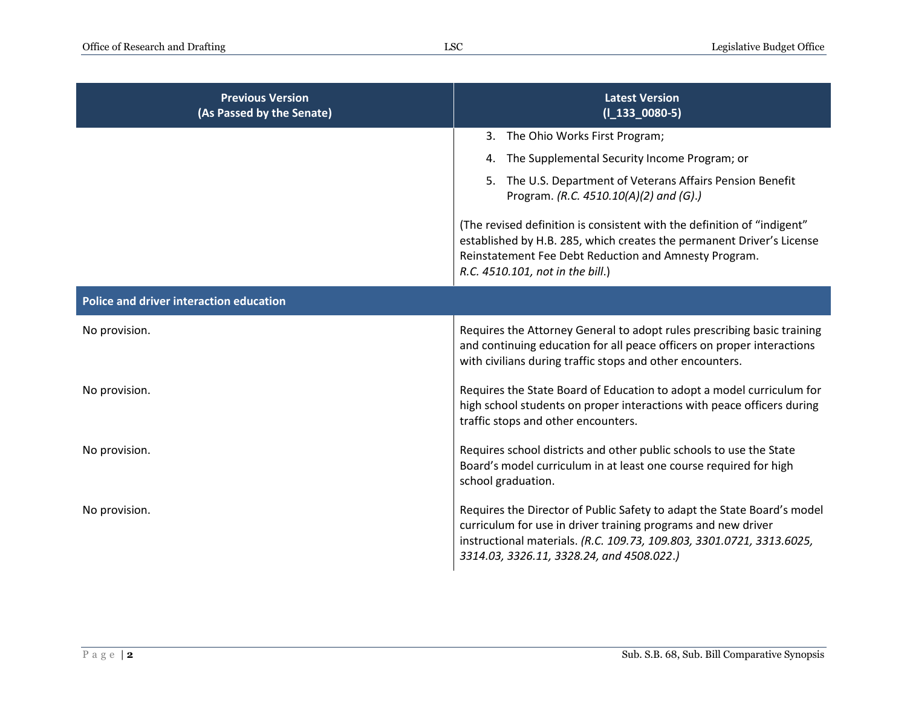| <b>Previous Version</b><br>(As Passed by the Senate) | <b>Latest Version</b><br>$(I_133_0080-5)$                                                                                                                                                                                                                      |
|------------------------------------------------------|----------------------------------------------------------------------------------------------------------------------------------------------------------------------------------------------------------------------------------------------------------------|
|                                                      | 3. The Ohio Works First Program;                                                                                                                                                                                                                               |
|                                                      | The Supplemental Security Income Program; or<br>4.                                                                                                                                                                                                             |
|                                                      | 5. The U.S. Department of Veterans Affairs Pension Benefit<br>Program. (R.C. 4510.10(A)(2) and (G).)                                                                                                                                                           |
|                                                      | (The revised definition is consistent with the definition of "indigent"<br>established by H.B. 285, which creates the permanent Driver's License<br>Reinstatement Fee Debt Reduction and Amnesty Program.<br>R.C. 4510.101, not in the bill.)                  |
| Police and driver interaction education              |                                                                                                                                                                                                                                                                |
| No provision.                                        | Requires the Attorney General to adopt rules prescribing basic training<br>and continuing education for all peace officers on proper interactions<br>with civilians during traffic stops and other encounters.                                                 |
| No provision.                                        | Requires the State Board of Education to adopt a model curriculum for<br>high school students on proper interactions with peace officers during<br>traffic stops and other encounters.                                                                         |
| No provision.                                        | Requires school districts and other public schools to use the State<br>Board's model curriculum in at least one course required for high<br>school graduation.                                                                                                 |
| No provision.                                        | Requires the Director of Public Safety to adapt the State Board's model<br>curriculum for use in driver training programs and new driver<br>instructional materials. (R.C. 109.73, 109.803, 3301.0721, 3313.6025,<br>3314.03, 3326.11, 3328.24, and 4508.022.) |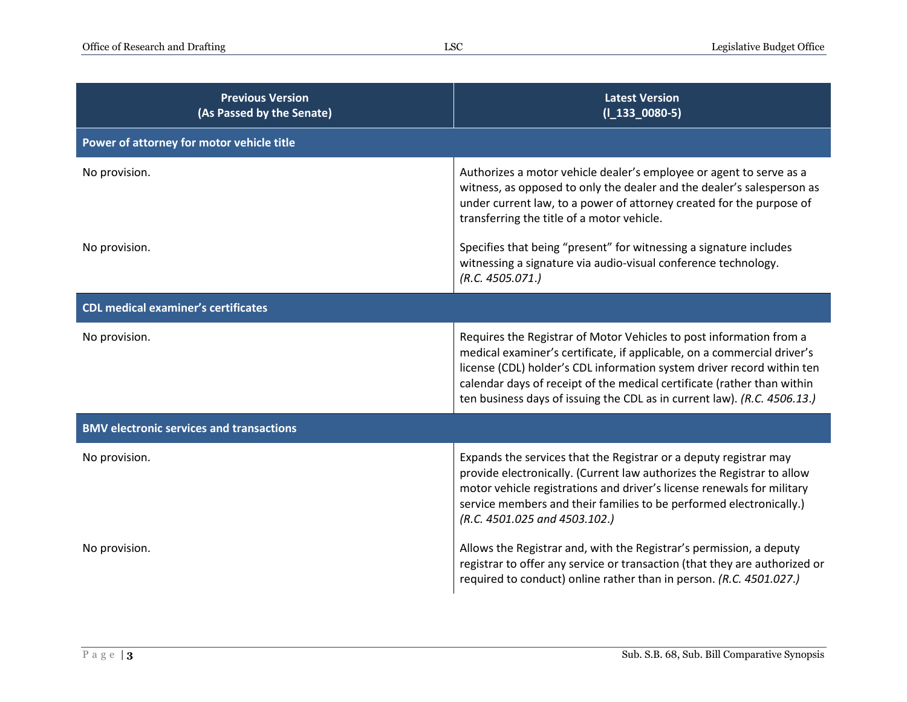| <b>Previous Version</b><br>(As Passed by the Senate) | <b>Latest Version</b><br>$(I_133_0080-5)$                                                                                                                                                                                                                                                                                                                                       |  |
|------------------------------------------------------|---------------------------------------------------------------------------------------------------------------------------------------------------------------------------------------------------------------------------------------------------------------------------------------------------------------------------------------------------------------------------------|--|
| Power of attorney for motor vehicle title            |                                                                                                                                                                                                                                                                                                                                                                                 |  |
| No provision.                                        | Authorizes a motor vehicle dealer's employee or agent to serve as a<br>witness, as opposed to only the dealer and the dealer's salesperson as<br>under current law, to a power of attorney created for the purpose of<br>transferring the title of a motor vehicle.                                                                                                             |  |
| No provision.                                        | Specifies that being "present" for witnessing a signature includes<br>witnessing a signature via audio-visual conference technology.<br>(R.C. 4505.071.)                                                                                                                                                                                                                        |  |
| <b>CDL medical examiner's certificates</b>           |                                                                                                                                                                                                                                                                                                                                                                                 |  |
| No provision.                                        | Requires the Registrar of Motor Vehicles to post information from a<br>medical examiner's certificate, if applicable, on a commercial driver's<br>license (CDL) holder's CDL information system driver record within ten<br>calendar days of receipt of the medical certificate (rather than within<br>ten business days of issuing the CDL as in current law). (R.C. 4506.13.) |  |
| <b>BMV electronic services and transactions</b>      |                                                                                                                                                                                                                                                                                                                                                                                 |  |
| No provision.                                        | Expands the services that the Registrar or a deputy registrar may<br>provide electronically. (Current law authorizes the Registrar to allow<br>motor vehicle registrations and driver's license renewals for military<br>service members and their families to be performed electronically.)<br>(R.C. 4501.025 and 4503.102.)                                                   |  |
| No provision.                                        | Allows the Registrar and, with the Registrar's permission, a deputy<br>registrar to offer any service or transaction (that they are authorized or<br>required to conduct) online rather than in person. (R.C. 4501.027.)                                                                                                                                                        |  |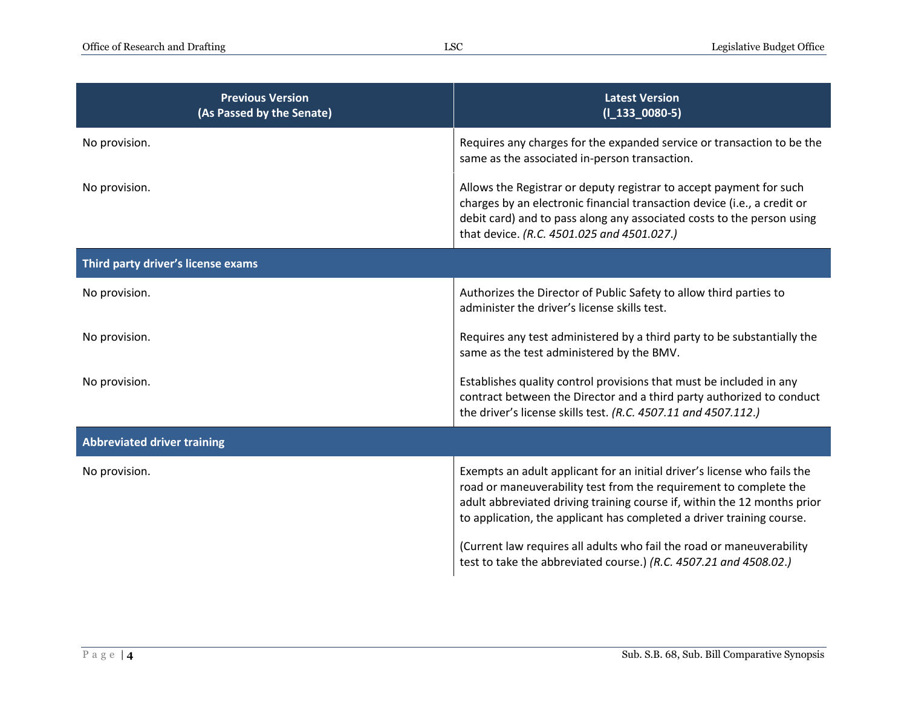| <b>Previous Version</b><br>(As Passed by the Senate) | <b>Latest Version</b><br>$(I_133_0080-5)$                                                                                                                                                                                                                                                                                                                                                                                                        |
|------------------------------------------------------|--------------------------------------------------------------------------------------------------------------------------------------------------------------------------------------------------------------------------------------------------------------------------------------------------------------------------------------------------------------------------------------------------------------------------------------------------|
| No provision.                                        | Requires any charges for the expanded service or transaction to be the<br>same as the associated in-person transaction.                                                                                                                                                                                                                                                                                                                          |
| No provision.                                        | Allows the Registrar or deputy registrar to accept payment for such<br>charges by an electronic financial transaction device (i.e., a credit or<br>debit card) and to pass along any associated costs to the person using<br>that device. (R.C. 4501.025 and 4501.027.)                                                                                                                                                                          |
| Third party driver's license exams                   |                                                                                                                                                                                                                                                                                                                                                                                                                                                  |
| No provision.                                        | Authorizes the Director of Public Safety to allow third parties to<br>administer the driver's license skills test.                                                                                                                                                                                                                                                                                                                               |
| No provision.                                        | Requires any test administered by a third party to be substantially the<br>same as the test administered by the BMV.                                                                                                                                                                                                                                                                                                                             |
| No provision.                                        | Establishes quality control provisions that must be included in any<br>contract between the Director and a third party authorized to conduct<br>the driver's license skills test. (R.C. 4507.11 and 4507.112.)                                                                                                                                                                                                                                   |
| <b>Abbreviated driver training</b>                   |                                                                                                                                                                                                                                                                                                                                                                                                                                                  |
| No provision.                                        | Exempts an adult applicant for an initial driver's license who fails the<br>road or maneuverability test from the requirement to complete the<br>adult abbreviated driving training course if, within the 12 months prior<br>to application, the applicant has completed a driver training course.<br>(Current law requires all adults who fail the road or maneuverability<br>test to take the abbreviated course.) (R.C. 4507.21 and 4508.02.) |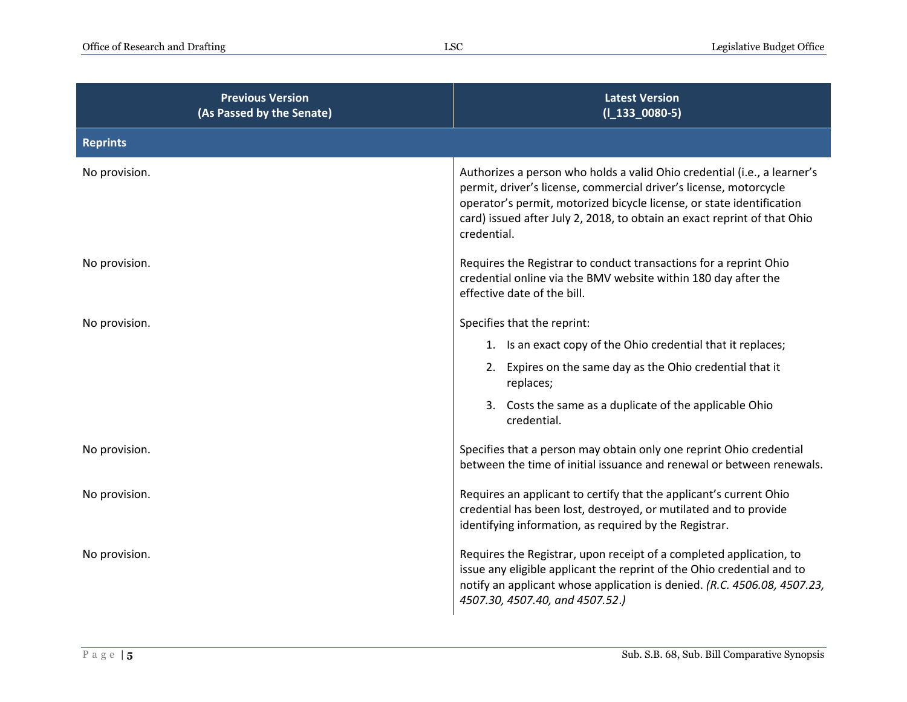| <b>Previous Version</b><br>(As Passed by the Senate) | <b>Latest Version</b><br>$(I_133_0080-5)$                                                                                                                                                                                                                                                                         |
|------------------------------------------------------|-------------------------------------------------------------------------------------------------------------------------------------------------------------------------------------------------------------------------------------------------------------------------------------------------------------------|
| <b>Reprints</b>                                      |                                                                                                                                                                                                                                                                                                                   |
| No provision.                                        | Authorizes a person who holds a valid Ohio credential (i.e., a learner's<br>permit, driver's license, commercial driver's license, motorcycle<br>operator's permit, motorized bicycle license, or state identification<br>card) issued after July 2, 2018, to obtain an exact reprint of that Ohio<br>credential. |
| No provision.                                        | Requires the Registrar to conduct transactions for a reprint Ohio<br>credential online via the BMV website within 180 day after the<br>effective date of the bill.                                                                                                                                                |
| No provision.                                        | Specifies that the reprint:                                                                                                                                                                                                                                                                                       |
|                                                      | 1. Is an exact copy of the Ohio credential that it replaces;                                                                                                                                                                                                                                                      |
|                                                      | 2. Expires on the same day as the Ohio credential that it<br>replaces;                                                                                                                                                                                                                                            |
|                                                      | 3. Costs the same as a duplicate of the applicable Ohio<br>credential.                                                                                                                                                                                                                                            |
| No provision.                                        | Specifies that a person may obtain only one reprint Ohio credential<br>between the time of initial issuance and renewal or between renewals.                                                                                                                                                                      |
| No provision.                                        | Requires an applicant to certify that the applicant's current Ohio<br>credential has been lost, destroyed, or mutilated and to provide<br>identifying information, as required by the Registrar.                                                                                                                  |
| No provision.                                        | Requires the Registrar, upon receipt of a completed application, to<br>issue any eligible applicant the reprint of the Ohio credential and to<br>notify an applicant whose application is denied. (R.C. 4506.08, 4507.23,<br>4507.30, 4507.40, and 4507.52.)                                                      |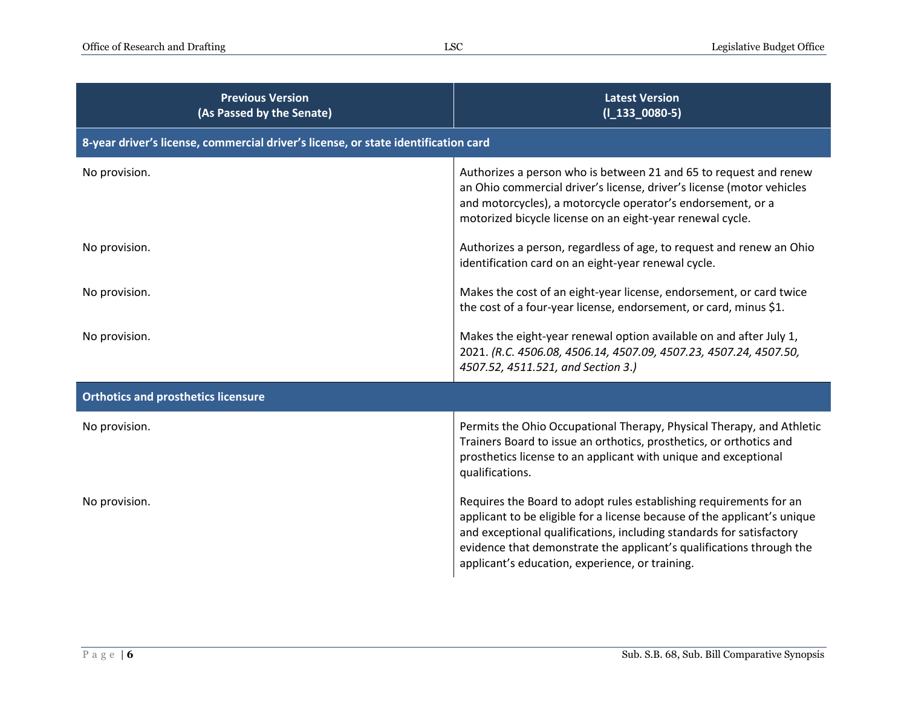| <b>Previous Version</b><br>(As Passed by the Senate)                               | <b>Latest Version</b><br>$(I_133_0080-5)$                                                                                                                                                                                                                                                                                                         |  |
|------------------------------------------------------------------------------------|---------------------------------------------------------------------------------------------------------------------------------------------------------------------------------------------------------------------------------------------------------------------------------------------------------------------------------------------------|--|
| 8-year driver's license, commercial driver's license, or state identification card |                                                                                                                                                                                                                                                                                                                                                   |  |
| No provision.                                                                      | Authorizes a person who is between 21 and 65 to request and renew<br>an Ohio commercial driver's license, driver's license (motor vehicles<br>and motorcycles), a motorcycle operator's endorsement, or a<br>motorized bicycle license on an eight-year renewal cycle.                                                                            |  |
| No provision.                                                                      | Authorizes a person, regardless of age, to request and renew an Ohio<br>identification card on an eight-year renewal cycle.                                                                                                                                                                                                                       |  |
| No provision.                                                                      | Makes the cost of an eight-year license, endorsement, or card twice<br>the cost of a four-year license, endorsement, or card, minus \$1.                                                                                                                                                                                                          |  |
| No provision.                                                                      | Makes the eight-year renewal option available on and after July 1,<br>2021. (R.C. 4506.08, 4506.14, 4507.09, 4507.23, 4507.24, 4507.50,<br>4507.52, 4511.521, and Section 3.)                                                                                                                                                                     |  |
| <b>Orthotics and prosthetics licensure</b>                                         |                                                                                                                                                                                                                                                                                                                                                   |  |
| No provision.                                                                      | Permits the Ohio Occupational Therapy, Physical Therapy, and Athletic<br>Trainers Board to issue an orthotics, prosthetics, or orthotics and<br>prosthetics license to an applicant with unique and exceptional<br>qualifications.                                                                                                                |  |
| No provision.                                                                      | Requires the Board to adopt rules establishing requirements for an<br>applicant to be eligible for a license because of the applicant's unique<br>and exceptional qualifications, including standards for satisfactory<br>evidence that demonstrate the applicant's qualifications through the<br>applicant's education, experience, or training. |  |